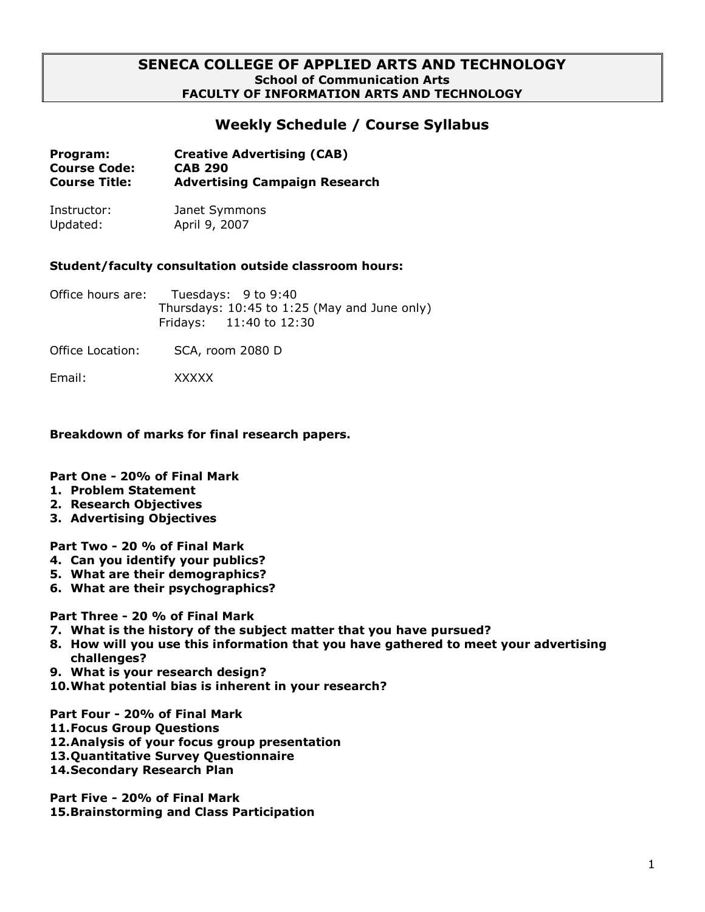### **SENECA COLLEGE OF APPLIED ARTS AND TECHNOLOGY School of Communication Arts FACULTY OF INFORMATION ARTS AND TECHNOLOGY**

## **Weekly Schedule / Course Syllabus**

| Program:             | <b>Creative Advertising (CAB)</b>    |
|----------------------|--------------------------------------|
| <b>Course Code:</b>  | <b>CAB 290</b>                       |
| <b>Course Title:</b> | <b>Advertising Campaign Research</b> |

Instructor: Janet Symmons Updated: April 9, 2007

#### **Student/faculty consultation outside classroom hours:**

Office hours are: Tuesdays: 9 to 9:40 Thursdays: 10:45 to 1:25 (May and June only) Fridays: 11:40 to 12:30

Office Location: SCA, room 2080 D

Email: XXXXX

#### **Breakdown of marks for final research papers.**

### **Part One - 20% of Final Mark**

- **1. Problem Statement**
- **2. Research Objectives**
- **3. Advertising Objectives**

**Part Two - 20 % of Final Mark**

- **4. Can you identify your publics?**
- **5. What are their demographics?**
- **6. What are their psychographics?**

**Part Three - 20 % of Final Mark**

- **7. What is the history of the subject matter that you have pursued?**
- **8. How will you use this information that you have gathered to meet your advertising challenges?**
- **9. What is your research design?**
- **10.What potential bias is inherent in your research?**

**Part Four - 20% of Final Mark**

- **11.Focus Group Questions**
- **12.Analysis of your focus group presentation**
- **13.Quantitative Survey Questionnaire**
- **14.Secondary Research Plan**

**Part Five - 20% of Final Mark**

**15.Brainstorming and Class Participation**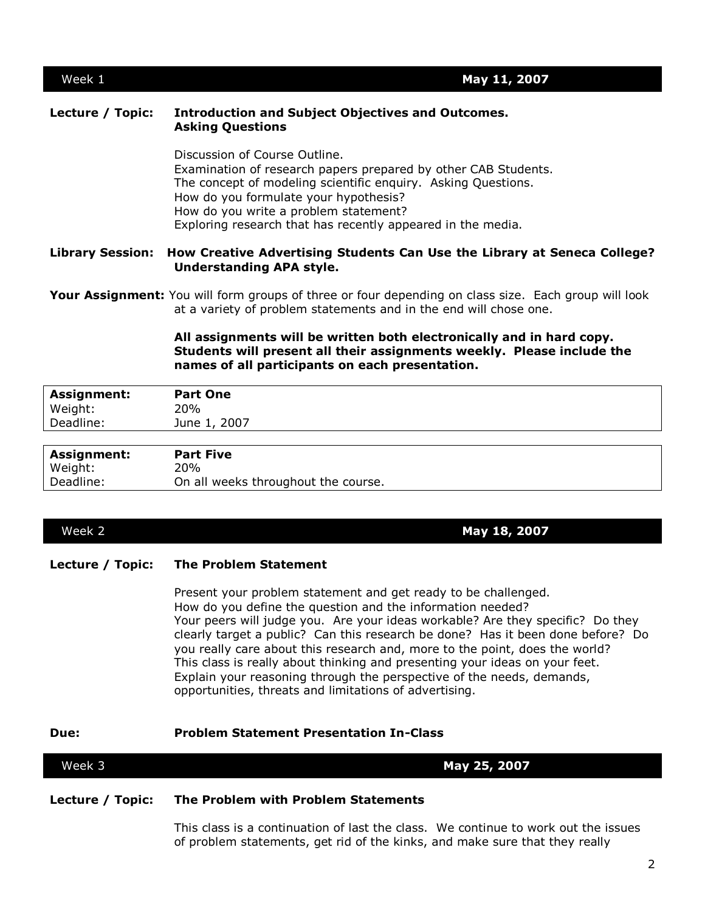2

Week 1 **May 11, 2007**

### **Lecture / Topic: Introduction and Subject Objectives and Outcomes. Asking Questions**

Discussion of Course Outline. Examination of research papers prepared by other CAB Students. The concept of modeling scientific enquiry. Asking Questions. How do you formulate your hypothesis? How do you write a problem statement? Exploring research that has recently appeared in the media.

#### **Library Session: How Creative Advertising Students Can Use the Library at Seneca College? Understanding APA style.**

**Your Assignment:** You will form groups of three or four depending on class size. Each group will look at a variety of problem statements and in the end will chose one.

#### **All assignments will be written both electronically and in hard copy. Students will present all their assignments weekly. Please include the names of all participants on each presentation.**

| <b>Assignment:</b> | <b>Part One</b> |
|--------------------|-----------------|
| Weight:            | 20%             |
| Deadline:          | June 1, 2007    |
|                    |                 |

| <b>Assignment:</b> | <b>Part Five</b>                    |
|--------------------|-------------------------------------|
| Weight:            | 20%                                 |
| Deadline:          | On all weeks throughout the course. |

# Week 2 **May 18, 2007**

### **Lecture / Topic: The Problem Statement**

Present your problem statement and get ready to be challenged. How do you define the question and the information needed? Your peers will judge you. Are your ideas workable? Are they specific? Do they clearly target a public? Can this research be done? Has it been done before? Do you really care about this research and, more to the point, does the world? This class is really about thinking and presenting your ideas on your feet. Explain your reasoning through the perspective of the needs, demands, opportunities, threats and limitations of advertising.

#### **Due: Problem Statement Presentation In-Class**

# **Lecture / Topic: The Problem with Problem Statements**

Week 3 **May 25, 2007**

This class is a continuation of last the class. We continue to work out the issues of problem statements, get rid of the kinks, and make sure that they really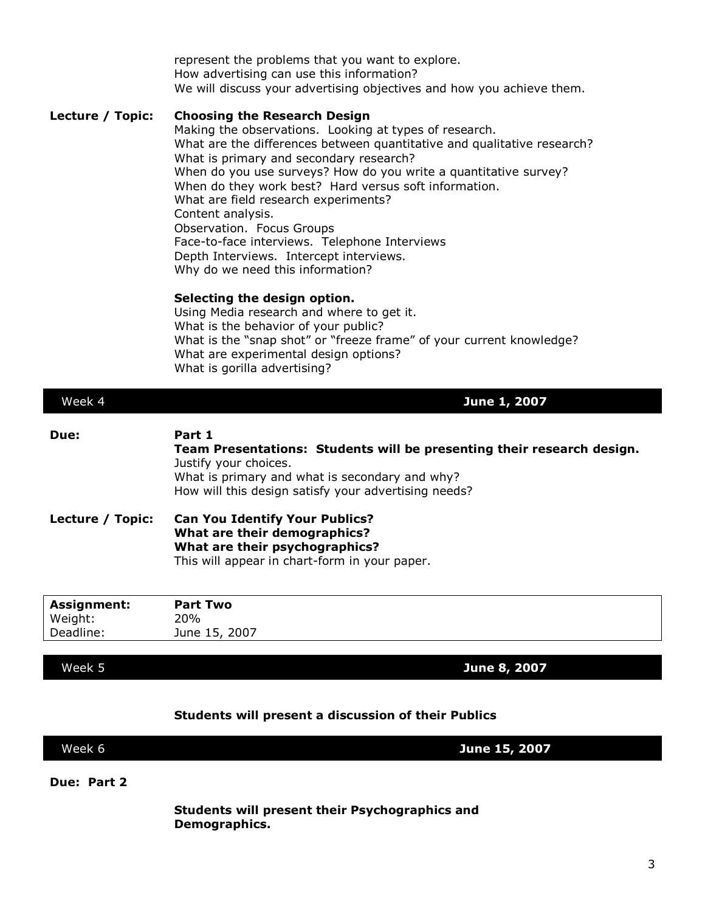represent the problems that you want to explore. How advertising can use this information? We will discuss your advertising objectives and how you achieve them. **Lecture / Topic: Choosing the Research Design** Making the observations. Looking at types of research. What are the differences between quantitative and qualitative research? What is primary and secondary research? When do you use surveys? How do you write a quantitative survey? When do they work best? Hard versus soft information. What are field research experiments? Content analysis.

Observation. Focus Groups Face-to-face interviews. Telephone Interviews

Depth Interviews. Intercept interviews. Why do we need this information?

#### **Selecting the design option.**

Using Media research and where to get it. What is the behavior of your public? What is the "snap shot" or "freeze frame" of your current knowledge? What are experimental design options? What is gorilla advertising?

| Week 4           | June 1, 2007                                                                                                                                                                                                        |
|------------------|---------------------------------------------------------------------------------------------------------------------------------------------------------------------------------------------------------------------|
| Due:             | Part 1<br>Team Presentations: Students will be presenting their research design.<br>Justify your choices.<br>What is primary and what is secondary and why?<br>How will this design satisfy your advertising needs? |
| Lecture / Topic: | <b>Can You Identify Your Publics?</b><br>What are their demographics?<br>What are their psychographics?<br>This will appear in chart-form in your paper.                                                            |
| Angles manufa    | <b>Deal Ture</b>                                                                                                                                                                                                    |

| <b>Assignment:</b> | <b>Part Two</b> |
|--------------------|-----------------|
| Weight:            | 20%             |
| Deadline:          | June 15, 2007   |
|                    |                 |

Week 5 **June 8, 2007**

#### **Students will present a discussion of their Publics**

| Week 6<br>June 15, 2007 |
|-------------------------|
|-------------------------|

**Due: Part 2**

**Students will present their Psychographics and Demographics.**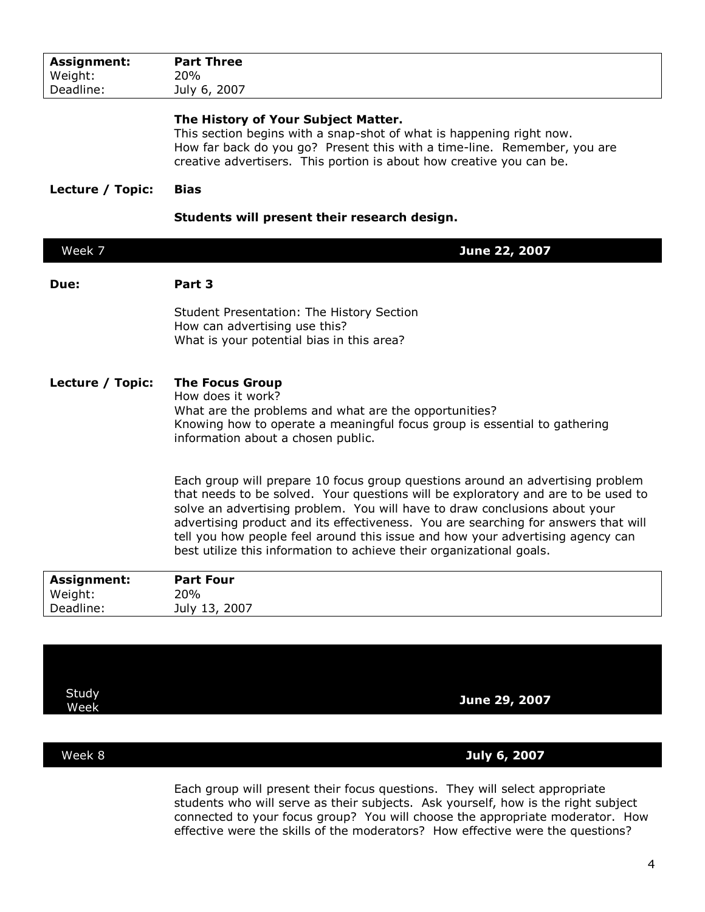| Assignment:            | <b>Part Three</b>                                                                                                                                                                                                                                                                                                                                                                                                                                                                                 |
|------------------------|---------------------------------------------------------------------------------------------------------------------------------------------------------------------------------------------------------------------------------------------------------------------------------------------------------------------------------------------------------------------------------------------------------------------------------------------------------------------------------------------------|
| Weight:<br>Deadline:   | <b>20%</b><br>July 6, 2007                                                                                                                                                                                                                                                                                                                                                                                                                                                                        |
|                        |                                                                                                                                                                                                                                                                                                                                                                                                                                                                                                   |
|                        | The History of Your Subject Matter.<br>This section begins with a snap-shot of what is happening right now.<br>How far back do you go? Present this with a time-line. Remember, you are<br>creative advertisers. This portion is about how creative you can be.                                                                                                                                                                                                                                   |
| Lecture / Topic:       | <b>Bias</b>                                                                                                                                                                                                                                                                                                                                                                                                                                                                                       |
|                        | Students will present their research design.                                                                                                                                                                                                                                                                                                                                                                                                                                                      |
| Week 7                 | June 22, 2007                                                                                                                                                                                                                                                                                                                                                                                                                                                                                     |
| Due:                   | Part 3                                                                                                                                                                                                                                                                                                                                                                                                                                                                                            |
|                        | Student Presentation: The History Section<br>How can advertising use this?<br>What is your potential bias in this area?                                                                                                                                                                                                                                                                                                                                                                           |
| Lecture / Topic:       | <b>The Focus Group</b><br>How does it work?<br>What are the problems and what are the opportunities?<br>Knowing how to operate a meaningful focus group is essential to gathering<br>information about a chosen public.                                                                                                                                                                                                                                                                           |
|                        | Each group will prepare 10 focus group questions around an advertising problem<br>that needs to be solved. Your questions will be exploratory and are to be used to<br>solve an advertising problem. You will have to draw conclusions about your<br>advertising product and its effectiveness. You are searching for answers that will<br>tell you how people feel around this issue and how your advertising agency can<br>best utilize this information to achieve their organizational goals. |
| Assignment:<br>Weight: | <b>Part Four</b><br>20%                                                                                                                                                                                                                                                                                                                                                                                                                                                                           |
| Deadline:              | July 13, 2007                                                                                                                                                                                                                                                                                                                                                                                                                                                                                     |
|                        |                                                                                                                                                                                                                                                                                                                                                                                                                                                                                                   |
|                        |                                                                                                                                                                                                                                                                                                                                                                                                                                                                                                   |

**Study** 

Week **June 29, 2007**

Week 8 **July 6, 2007**

Each group will present their focus questions. They will select appropriate students who will serve as their subjects. Ask yourself, how is the right subject connected to your focus group? You will choose the appropriate moderator. How effective were the skills of the moderators? How effective were the questions?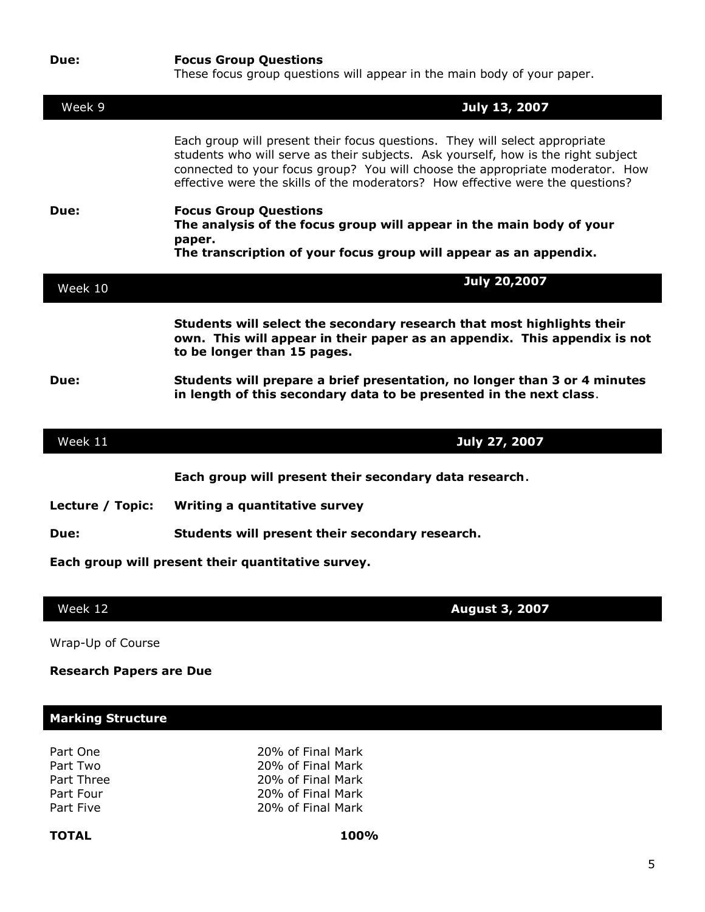| Due:                                               | <b>Focus Group Questions</b><br>These focus group questions will appear in the main body of your paper.                                                                                                                                                                                                                             |
|----------------------------------------------------|-------------------------------------------------------------------------------------------------------------------------------------------------------------------------------------------------------------------------------------------------------------------------------------------------------------------------------------|
| Week 9                                             | July 13, 2007                                                                                                                                                                                                                                                                                                                       |
|                                                    | Each group will present their focus questions. They will select appropriate<br>students who will serve as their subjects. Ask yourself, how is the right subject<br>connected to your focus group? You will choose the appropriate moderator. How<br>effective were the skills of the moderators? How effective were the questions? |
| Due:                                               | <b>Focus Group Questions</b><br>The analysis of the focus group will appear in the main body of your<br>paper.<br>The transcription of your focus group will appear as an appendix.                                                                                                                                                 |
| Week 10                                            | <b>July 20,2007</b>                                                                                                                                                                                                                                                                                                                 |
| Due:                                               | Students will select the secondary research that most highlights their<br>own. This will appear in their paper as an appendix. This appendix is not<br>to be longer than 15 pages.<br>Students will prepare a brief presentation, no longer than 3 or 4 minutes                                                                     |
|                                                    | in length of this secondary data to be presented in the next class.                                                                                                                                                                                                                                                                 |
|                                                    |                                                                                                                                                                                                                                                                                                                                     |
| Week 11                                            | July 27, 2007                                                                                                                                                                                                                                                                                                                       |
|                                                    | Each group will present their secondary data research.                                                                                                                                                                                                                                                                              |
| Lecture / Topic:                                   | Writing a quantitative survey                                                                                                                                                                                                                                                                                                       |
| Due:                                               | Students will present their secondary research.                                                                                                                                                                                                                                                                                     |
| Each group will present their quantitative survey. |                                                                                                                                                                                                                                                                                                                                     |
|                                                    |                                                                                                                                                                                                                                                                                                                                     |
| Week 12                                            | <b>August 3, 2007</b>                                                                                                                                                                                                                                                                                                               |

Wrap-Up of Course

**Research Papers are Due**

## **Marking Structure**

| Part One   |  |
|------------|--|
| Part Two   |  |
| Part Three |  |
| Part Four  |  |
| Part Five  |  |

20% of Final Mark 20% of Final Mark 20% of Final Mark 20% of Final Mark 20% of Final Mark